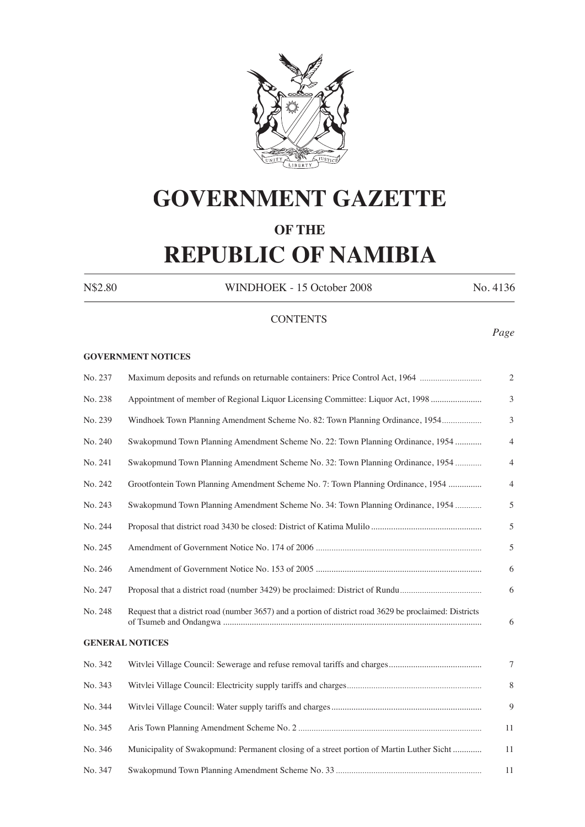

# **GOVERNMENT GAZETTE**

## **OF THE**

## **REPUBLIC OF NAMIBIA**

N\$2.80 WINDHOEK - 15 October 2008 No. 4136

## **CONTENTS**

## *Page*

#### **GOVERNMENT NOTICES**

| No. 237 | Maximum deposits and refunds on returnable containers: Price Control Act, 1964                          | $\overline{2}$ |
|---------|---------------------------------------------------------------------------------------------------------|----------------|
| No. 238 | Appointment of member of Regional Liquor Licensing Committee: Liquor Act, 1998                          | 3              |
| No. 239 | Windhoek Town Planning Amendment Scheme No. 82: Town Planning Ordinance, 1954                           | 3              |
| No. 240 | Swakopmund Town Planning Amendment Scheme No. 22: Town Planning Ordinance, 1954                         | $\overline{4}$ |
| No. 241 | Swakopmund Town Planning Amendment Scheme No. 32: Town Planning Ordinance, 1954                         | $\overline{4}$ |
| No. 242 | Grootfontein Town Planning Amendment Scheme No. 7: Town Planning Ordinance, 1954                        | $\overline{4}$ |
| No. 243 | Swakopmund Town Planning Amendment Scheme No. 34: Town Planning Ordinance, 1954                         | 5              |
| No. 244 |                                                                                                         | 5              |
| No. 245 |                                                                                                         | 5              |
| No. 246 |                                                                                                         | 6              |
| No. 247 |                                                                                                         | 6              |
| No. 248 | Request that a district road (number 3657) and a portion of district road 3629 be proclaimed: Districts | 6              |
|         | <b>GENERAL NOTICES</b>                                                                                  |                |
| No. 342 |                                                                                                         | 7              |
| No. 343 |                                                                                                         | 8              |
| No. 344 |                                                                                                         | 9              |
| No. 345 |                                                                                                         | 11             |
| No. 346 | Municipality of Swakopmund: Permanent closing of a street portion of Martin Luther Sicht                | 11             |
| No. 347 |                                                                                                         | 11             |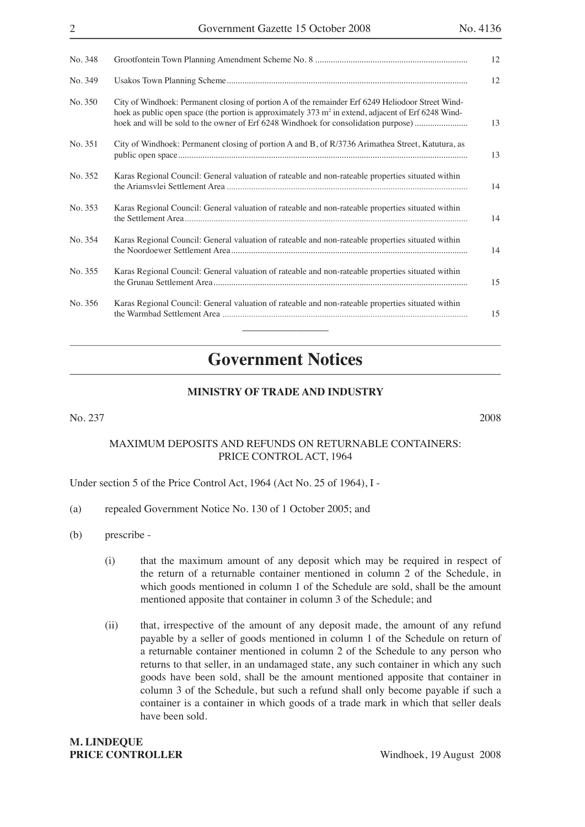| No. 348 |                                                                                                                                                                                                                                                                                                   | 12 |
|---------|---------------------------------------------------------------------------------------------------------------------------------------------------------------------------------------------------------------------------------------------------------------------------------------------------|----|
| No. 349 |                                                                                                                                                                                                                                                                                                   | 12 |
| No. 350 | City of Windhoek: Permanent closing of portion A of the remainder Erf 6249 Heliodoor Street Wind-<br>hoek as public open space (the portion is approximately 373 $m2$ in extend, adjacent of Erf 6248 Wind-<br>hoek and will be sold to the owner of Erf 6248 Windhoek for consolidation purpose) | 13 |
| No. 351 | City of Windhoek: Permanent closing of portion A and B, of R/3736 Arimathea Street, Katutura, as                                                                                                                                                                                                  | 13 |
| No. 352 | Karas Regional Council: General valuation of rateable and non-rateable properties situated within                                                                                                                                                                                                 | 14 |
| No. 353 | Karas Regional Council: General valuation of rateable and non-rateable properties situated within                                                                                                                                                                                                 | 14 |
| No. 354 | Karas Regional Council: General valuation of rateable and non-rateable properties situated within                                                                                                                                                                                                 | 14 |
| No. 355 | Karas Regional Council: General valuation of rateable and non-rateable properties situated within                                                                                                                                                                                                 | 15 |
| No. 356 | Karas Regional Council: General valuation of rateable and non-rateable properties situated within                                                                                                                                                                                                 | 15 |
|         |                                                                                                                                                                                                                                                                                                   |    |

## **Government Notices**

## **MINISTRY OF TRADE AND INDUSTRY**

No. 237 2008

## MAXIMUM DEPOSITS AND REFUNDS ON RETURNABLE CONTAINERS: PRICE CONTROL ACT, 1964

Under section 5 of the Price Control Act, 1964 (Act No. 25 of 1964), I -

- (a) repealed Government Notice No. 130 of 1 October 2005; and
- (b) prescribe
	- (i) that the maximum amount of any deposit which may be required in respect of the return of a returnable container mentioned in column 2 of the Schedule, in which goods mentioned in column 1 of the Schedule are sold, shall be the amount mentioned apposite that container in column 3 of the Schedule; and
	- (ii) that, irrespective of the amount of any deposit made, the amount of any refund payable by a seller of goods mentioned in column 1 of the Schedule on return of a returnable container mentioned in column 2 of the Schedule to any person who returns to that seller, in an undamaged state, any such container in which any such goods have been sold, shall be the amount mentioned apposite that container in column 3 of the Schedule, but such a refund shall only become payable if such a container is a container in which goods of a trade mark in which that seller deals have been sold.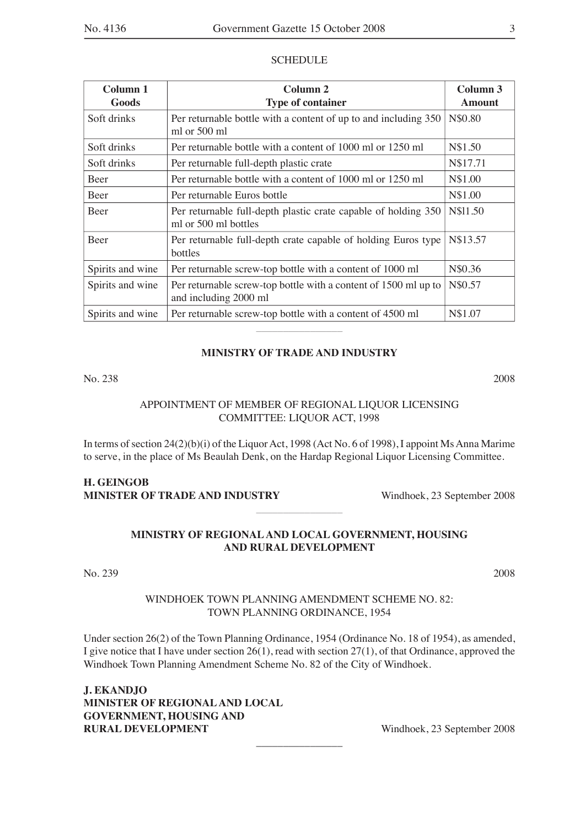#### **SCHEDULE**

| Column 1<br>Goods | Column 2<br><b>Type of container</b>                                                     | Column <sub>3</sub><br><b>Amount</b> |
|-------------------|------------------------------------------------------------------------------------------|--------------------------------------|
| Soft drinks       | Per returnable bottle with a content of up to and including 350<br>ml or $500$ ml        | N\$0.80                              |
| Soft drinks       | Per returnable bottle with a content of 1000 ml or 1250 ml                               | N\$1.50                              |
| Soft drinks       | Per returnable full-depth plastic crate                                                  | N\$17.71                             |
| <b>Beer</b>       | Per returnable bottle with a content of 1000 ml or 1250 ml                               | N\$1.00                              |
| Beer              | Per returnable Euros bottle                                                              | N\$1.00                              |
| <b>Beer</b>       | Per returnable full-depth plastic crate capable of holding 350<br>ml or 500 ml bottles   | N\$11.50                             |
| <b>Beer</b>       | Per returnable full-depth crate capable of holding Euros type<br>bottles                 | N\$13.57                             |
| Spirits and wine  | Per returnable screw-top bottle with a content of 1000 ml                                | N\$0.36                              |
| Spirits and wine  | Per returnable screw-top bottle with a content of 1500 ml up to<br>and including 2000 ml | N\$0.57                              |
| Spirits and wine  | Per returnable screw-top bottle with a content of 4500 ml                                | N\$1.07                              |

## **MINISTRY OF TRADE AND INDUSTRY**

No. 238 2008

## APPOINTMENT OF MEMBER OF REGIONAL LIQUOR LICENSING COMMITTEE: LIQUOR ACT, 1998

In terms of section 24(2)(b)(i) of the Liquor Act, 1998 (Act No. 6 of 1998), I appoint Ms Anna Marime to serve, in the place of Ms Beaulah Denk, on the Hardap Regional Liquor Licensing Committee.

## **H. GEINGOB MINISTER OF TRADE AND INDUSTRY** Windhoek, 23 September 2008

## **MINISTRY OF REGIONAL AND LOCAL GOVERNMENT, HOUSING AND RURAL DEVELOPMENT**

 $\overline{\phantom{a}}$  , where  $\overline{\phantom{a}}$ 

## No. 239 2008

## WINDHOEK TOWN PLANNING AMENDMENT SCHEME NO. 82: TOWN PLANNING ORDINANCE, 1954

Under section 26(2) of the Town Planning Ordinance, 1954 (Ordinance No. 18 of 1954), as amended, I give notice that I have under section 26(1), read with section 27(1), of that Ordinance, approved the Windhoek Town Planning Amendment Scheme No. 82 of the City of Windhoek.

 $\overline{\phantom{a}}$  , where  $\overline{\phantom{a}}$ 

**J. EKANDJO MINISTER OF REGIONAL AND LOCAL GOVERNMENT, HOUSING AND RURAL DEVELOPMENT** Windhoek, 23 September 2008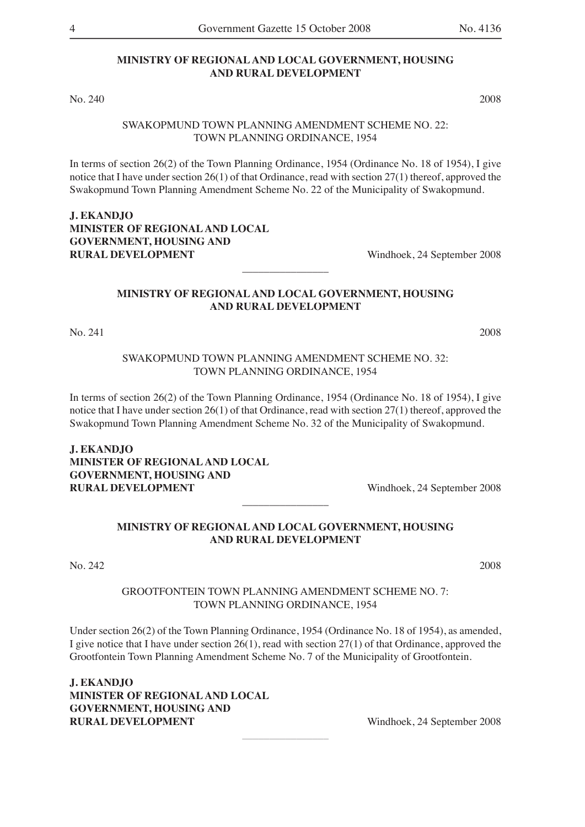No. 240 2008

#### SWAKOPMUND TOWN PLANNING AMENDMENT SCHEME NO. 22: TOWN PLANNING ORDINANCE, 1954

In terms of section 26(2) of the Town Planning Ordinance, 1954 (Ordinance No. 18 of 1954), I give notice that I have under section 26(1) of that Ordinance, read with section 27(1) thereof, approved the Swakopmund Town Planning Amendment Scheme No. 22 of the Municipality of Swakopmund.

## **J. EKANDJO MINISTER OF REGIONAL AND LOCAL GOVERNMENT, HOUSING AND RURAL DEVELOPMENT** Windhoek, 24 September 2008

## **MINISTRY OF REGIONAL AND LOCAL GOVERNMENT, HOUSING AND RURAL DEVELOPMENT**

 $\overline{\phantom{a}}$  , where  $\overline{\phantom{a}}$ 

No. 241 2008

SWAKOPMUND TOWN PLANNING AMENDMENT SCHEME NO. 32: TOWN PLANNING ORDINANCE, 1954

In terms of section 26(2) of the Town Planning Ordinance, 1954 (Ordinance No. 18 of 1954), I give notice that I have under section 26(1) of that Ordinance, read with section 27(1) thereof, approved the Swakopmund Town Planning Amendment Scheme No. 32 of the Municipality of Swakopmund.

**J. EKANDJO MINISTER OF REGIONAL AND LOCAL GOVERNMENT, HOUSING AND RURAL DEVELOPMENT** Windhoek, 24 September 2008

## **MINISTRY OF REGIONAL AND LOCAL GOVERNMENT, HOUSING AND RURAL DEVELOPMENT**

 $\overline{\phantom{a}}$  , where  $\overline{\phantom{a}}$ 

No. 242 2008

#### GROOTFONTEIN TOWN PLANNING AMENDMENT SCHEME NO. 7: TOWN PLANNING ORDINANCE, 1954

Under section 26(2) of the Town Planning Ordinance, 1954 (Ordinance No. 18 of 1954), as amended, I give notice that I have under section 26(1), read with section 27(1) of that Ordinance, approved the Grootfontein Town Planning Amendment Scheme No. 7 of the Municipality of Grootfontein.

 $\overline{\phantom{a}}$  , where  $\overline{\phantom{a}}$ 

**J. EKANDJO MINISTER OF REGIONAL AND LOCAL GOVERNMENT, HOUSING AND RURAL DEVELOPMENT** Windhoek, 24 September 2008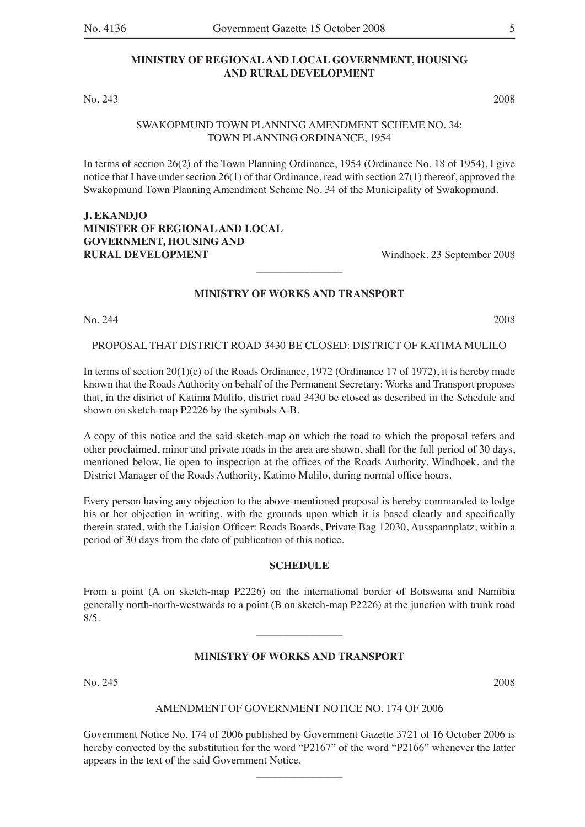#### **MINISTRY OF REGIONAL AND LOCAL GOVERNMENT, HOUSING AND RURAL DEVELOPMENT**

No. 243 2008

#### SWAKOPMUND TOWN PLANNING AMENDMENT SCHEME NO. 34: TOWN PLANNING ORDINANCE, 1954

In terms of section 26(2) of the Town Planning Ordinance, 1954 (Ordinance No. 18 of 1954), I give notice that I have under section 26(1) of that Ordinance, read with section 27(1) thereof, approved the Swakopmund Town Planning Amendment Scheme No. 34 of the Municipality of Swakopmund.

## **J. EKANDJO MINISTER OF REGIONAL AND LOCAL GOVERNMENT, HOUSING AND RURAL DEVELOPMENT** Windhoek, 23 September 2008

## **MINISTRY OF WORKS AND TRANSPORT**

 $\overline{\phantom{a}}$  , where  $\overline{\phantom{a}}$ 

No. 244 2008

PROPOSAL THAT DISTRICT ROAD 3430 BE CLOSED: DISTRICT OF KATIMA MULILO

In terms of section 20(1)(c) of the Roads Ordinance, 1972 (Ordinance 17 of 1972), it is hereby made known that the Roads Authority on behalf of the Permanent Secretary: Works and Transport proposes that, in the district of Katima Mulilo, district road 3430 be closed as described in the Schedule and shown on sketch-map P2226 by the symbols A-B.

A copy of this notice and the said sketch-map on which the road to which the proposal refers and other proclaimed, minor and private roads in the area are shown, shall for the full period of 30 days, mentioned below, lie open to inspection at the offices of the Roads Authority, Windhoek, and the District Manager of the Roads Authority, Katimo Mulilo, during normal office hours.

Every person having any objection to the above-mentioned proposal is hereby commanded to lodge his or her objection in writing, with the grounds upon which it is based clearly and specifically therein stated, with the Liaision Officer: Roads Boards, Private Bag 12030, Ausspannplatz, within a period of 30 days from the date of publication of this notice.

## **SCHEDULE**

From a point (A on sketch-map P2226) on the international border of Botswana and Namibia generally north-north-westwards to a point (B on sketch-map P2226) at the junction with trunk road  $8/5.$ 

 $\overline{\phantom{a}}$  , where  $\overline{\phantom{a}}$ 

#### **MINISTRY OF WORKS AND TRANSPORT**

No. 245 2008

#### AMENDMENT OF GOVERNMENT NOTICE NO. 174 OF 2006

Government Notice No. 174 of 2006 published by Government Gazette 3721 of 16 October 2006 is hereby corrected by the substitution for the word "P2167" of the word "P2166" whenever the latter appears in the text of the said Government Notice.

 $\overline{\phantom{a}}$  , where  $\overline{\phantom{a}}$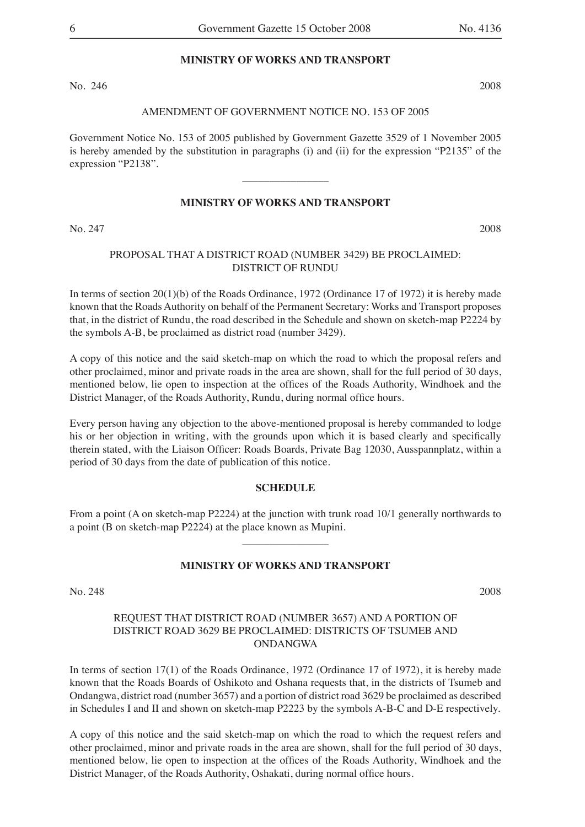#### **MINISTRY OF WORKS AND TRANSPORT**

No. 246 2008

#### AMENDMENT OF GOVERNMENT NOTICE NO. 153 OF 2005

Government Notice No. 153 of 2005 published by Government Gazette 3529 of 1 November 2005 is hereby amended by the substitution in paragraphs (i) and (ii) for the expression "P2135" of the expression "P2138".

 $\overline{\phantom{a}}$  , where  $\overline{\phantom{a}}$ 

## **MINISTRY OF WORKS AND TRANSPORT**

No. 247 2008

## PROPOSAL THAT A DISTRICT ROAD (NUMBER 3429) BE PROCLAIMED: DISTRICT OF RUNDU

In terms of section 20(1)(b) of the Roads Ordinance, 1972 (Ordinance 17 of 1972) it is hereby made known that the Roads Authority on behalf of the Permanent Secretary: Works and Transport proposes that, in the district of Rundu, the road described in the Schedule and shown on sketch-map P2224 by the symbols A-B, be proclaimed as district road (number 3429).

A copy of this notice and the said sketch-map on which the road to which the proposal refers and other proclaimed, minor and private roads in the area are shown, shall for the full period of 30 days, mentioned below, lie open to inspection at the offices of the Roads Authority, Windhoek and the District Manager, of the Roads Authority, Rundu, during normal office hours.

Every person having any objection to the above-mentioned proposal is hereby commanded to lodge his or her objection in writing, with the grounds upon which it is based clearly and specifically therein stated, with the Liaison Officer: Roads Boards, Private Bag 12030, Ausspannplatz, within a period of 30 days from the date of publication of this notice.

#### **SCHEDULE**

From a point (A on sketch-map P2224) at the junction with trunk road 10/1 generally northwards to a point (B on sketch-map P2224) at the place known as Mupini.

 $\overline{\phantom{a}}$  , where  $\overline{\phantom{a}}$ 

#### **MINISTRY OF WORKS AND TRANSPORT**

No. 248 2008

## REQUEST THAT DISTRICT ROAD (NUMBER 3657) AND A PORTION OF DISTRICT ROAD 3629 BE PROCLAIMED: DISTRICTS OF TSUMEB AND ONDANGWA

In terms of section 17(1) of the Roads Ordinance, 1972 (Ordinance 17 of 1972), it is hereby made known that the Roads Boards of Oshikoto and Oshana requests that, in the districts of Tsumeb and Ondangwa, district road (number 3657) and a portion of district road 3629 be proclaimed as described in Schedules I and II and shown on sketch-map P2223 by the symbols A-B-C and D-E respectively.

A copy of this notice and the said sketch-map on which the road to which the request refers and other proclaimed, minor and private roads in the area are shown, shall for the full period of 30 days, mentioned below, lie open to inspection at the offices of the Roads Authority, Windhoek and the District Manager, of the Roads Authority, Oshakati, during normal office hours.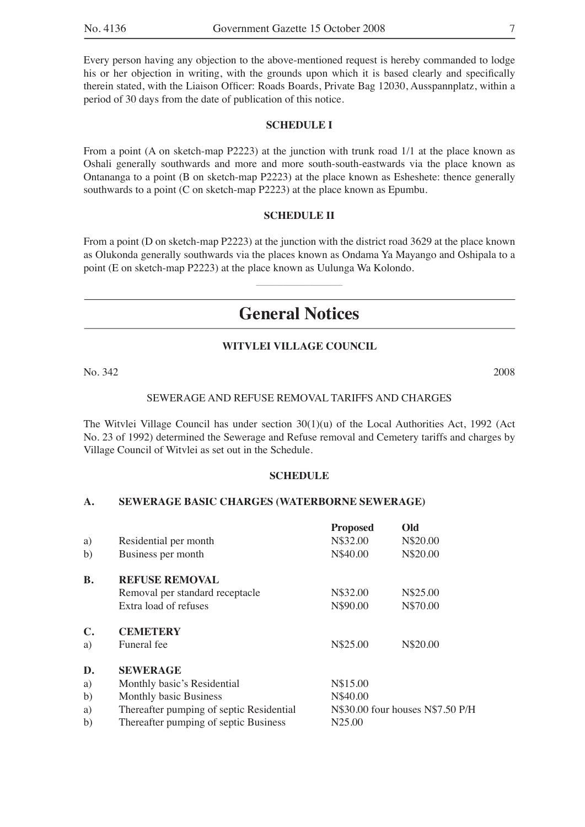Every person having any objection to the above-mentioned request is hereby commanded to lodge his or her objection in writing, with the grounds upon which it is based clearly and specifically therein stated, with the Liaison Officer: Roads Boards, Private Bag 12030, Ausspannplatz, within a period of 30 days from the date of publication of this notice.

#### **SCHEDULE I**

From a point (A on sketch-map P2223) at the junction with trunk road 1/1 at the place known as Oshali generally southwards and more and more south-south-eastwards via the place known as Ontananga to a point (B on sketch-map P2223) at the place known as Esheshete: thence generally southwards to a point (C on sketch-map P2223) at the place known as Epumbu.

#### **SCHEDULE II**

From a point (D on sketch-map P2223) at the junction with the district road 3629 at the place known as Olukonda generally southwards via the places known as Ondama Ya Mayango and Oshipala to a point (E on sketch-map P2223) at the place known as Uulunga Wa Kolondo.

 $\overline{\phantom{a}}$  , where  $\overline{\phantom{a}}$ 

## **General Notices**

#### **WITVLEI VILLAGE COUNCIL**

No. 342 2008

## SEWERAGE AND REFUSE REMOVAL TARIFFS AND CHARGES

The Witvlei Village Council has under section 30(1)(u) of the Local Authorities Act, 1992 (Act No. 23 of 1992) determined the Sewerage and Refuse removal and Cemetery tariffs and charges by Village Council of Witvlei as set out in the Schedule.

#### **SCHEDULE**

#### **A. SEWERAGE BASIC CHARGES (WATERBORNE SEWERAGE)**

|                |                                          | <b>Proposed</b>    | Old                              |
|----------------|------------------------------------------|--------------------|----------------------------------|
| a)             | Residential per month                    | N\$32.00           | N\$20.00                         |
| b)             | Business per month                       | N\$40.00           | N\$20.00                         |
| <b>B.</b>      | <b>REFUSE REMOVAL</b>                    |                    |                                  |
|                | Removal per standard receptacle          | N\$32.00           | N\$25.00                         |
|                | Extra load of refuses                    | N\$90.00           | N\$70.00                         |
| $\mathbf{C}$ . | <b>CEMETERY</b>                          |                    |                                  |
| a)             | Funeral fee                              | N\$25.00           | N\$20.00                         |
| D.             | <b>SEWERAGE</b>                          |                    |                                  |
| a)             | Monthly basic's Residential              | N\$15.00           |                                  |
| b)             | <b>Monthly basic Business</b>            | N\$40.00           |                                  |
| a)             | Thereafter pumping of septic Residential |                    | N\$30.00 four houses N\$7.50 P/H |
| b)             | Thereafter pumping of septic Business    | N <sub>25.00</sub> |                                  |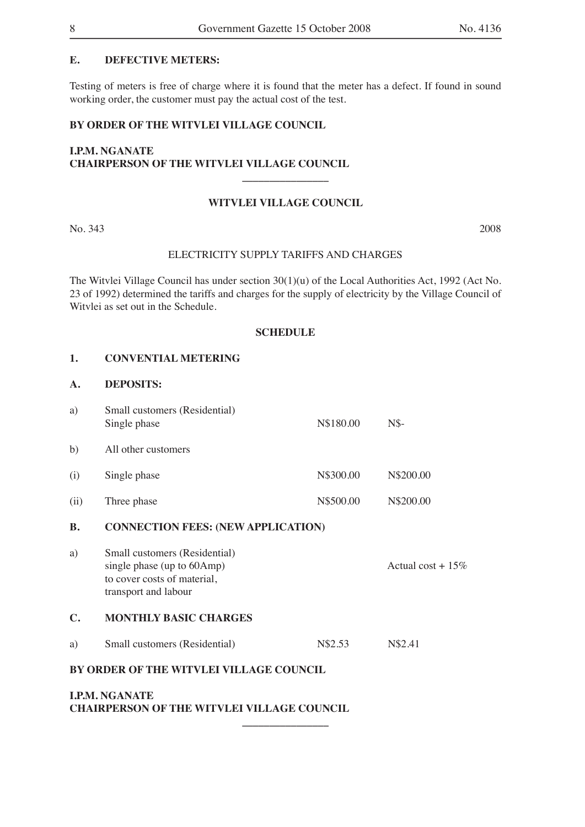## **E. DEFECTIVE METERS:**

Testing of meters is free of charge where it is found that the meter has a defect. If found in sound working order, the customer must pay the actual cost of the test.

## **BY ORDER OF THE WITVLEI VILLAGE COUNCIL**

## **I.P.M. NGANATE CHAIRPERSON OF THE WITVLEI VILLAGE COUNCIL**

#### **WITVLEI VILLAGE COUNCIL**

**\_\_\_\_\_\_\_\_\_\_\_\_\_\_\_\_**

No. 343 2008

#### ELECTRICITY SUPPLY TARIFFS AND CHARGES

The Witvlei Village Council has under section 30(1)(u) of the Local Authorities Act, 1992 (Act No. 23 of 1992) determined the tariffs and charges for the supply of electricity by the Village Council of Witvlei as set out in the Schedule.

#### **SCHEDULE**

#### **1. CONVENTIAL METERING**

## **A. DEPOSITS:**

| a)   | Small customers (Residential)<br>Single phase | N\$180.00 | $N\$      |
|------|-----------------------------------------------|-----------|-----------|
| b)   | All other customers                           |           |           |
| (i)  | Single phase                                  | N\$300.00 | N\$200.00 |
| (ii) | Three phase                                   | N\$500.00 | N\$200.00 |

#### **B. CONNECTION FEES: (NEW APPLICATION)**

a) Small customers (Residential) single phase (up to  $60 \text{Amp}$ ) Actual cost +  $15\%$ to cover costs of material, transport and labour

#### **C. MONTHLY BASIC CHARGES**

| Small customers (Residential) | N\$2.53 | N\$2.41 |
|-------------------------------|---------|---------|
|-------------------------------|---------|---------|

#### **BY ORDER OF THE WITVLEI VILLAGE COUNCIL**

## **I.P.M. NGANATE CHAIRPERSON OF THE WITVLEI VILLAGE COUNCIL**

**\_\_\_\_\_\_\_\_\_\_\_\_\_\_\_\_**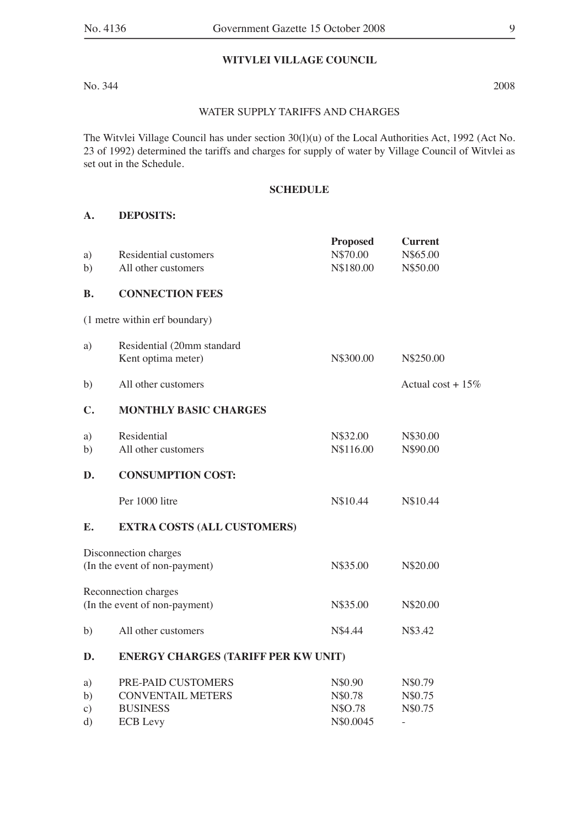## **WITVLEI VILLAGE COUNCIL**

No. 344 2008

#### WATER SUPPLY TARIFFS AND CHARGES

The Witvlei Village Council has under section 30(l)(u) of the Local Authorities Act, 1992 (Act No. 23 of 1992) determined the tariffs and charges for supply of water by Village Council of Witvlei as set out in the Schedule.

## **SCHEDULE**

## **A. DEPOSITS:**

|                |                                            | <b>Proposed</b> | <b>Current</b>           |
|----------------|--------------------------------------------|-----------------|--------------------------|
| a)             | Residential customers                      | N\$70.00        | N\$65.00                 |
| b)             | All other customers                        | N\$180.00       | N\$50.00                 |
| <b>B.</b>      | <b>CONNECTION FEES</b>                     |                 |                          |
|                | (1 metre within erf boundary)              |                 |                          |
| a)             | Residential (20mm standard                 |                 |                          |
|                | Kent optima meter)                         | N\$300.00       | N\$250.00                |
| b)             | All other customers                        |                 | Actual cost + $15\%$     |
| $\mathbf{C}$ . | <b>MONTHLY BASIC CHARGES</b>               |                 |                          |
| a)             | Residential                                | N\$32.00        | N\$30.00                 |
| b)             | All other customers                        | N\$116.00       | N\$90.00                 |
| D.             | <b>CONSUMPTION COST:</b>                   |                 |                          |
|                | Per 1000 litre                             | N\$10.44        | N\$10.44                 |
| E.             | <b>EXTRA COSTS (ALL CUSTOMERS)</b>         |                 |                          |
|                | Disconnection charges                      |                 |                          |
|                | (In the event of non-payment)              | N\$35.00        | N\$20.00                 |
|                | Reconnection charges                       |                 |                          |
|                | (In the event of non-payment)              | N\$35.00        | N\$20.00                 |
| b)             | All other customers                        | N\$4.44         | N\$3.42                  |
| D.             | <b>ENERGY CHARGES (TARIFF PER KW UNIT)</b> |                 |                          |
| a)             | PRE-PAID CUSTOMERS                         | N\$0.90         | N\$0.79                  |
| b)             | <b>CONVENTAIL METERS</b>                   | N\$0.78         | N\$0.75                  |
| $\circ$ )      | <b>BUSINESS</b>                            | N\$O.78         | N\$0.75                  |
| d)             | <b>ECB</b> Levy                            | N\$0.0045       | $\overline{\phantom{a}}$ |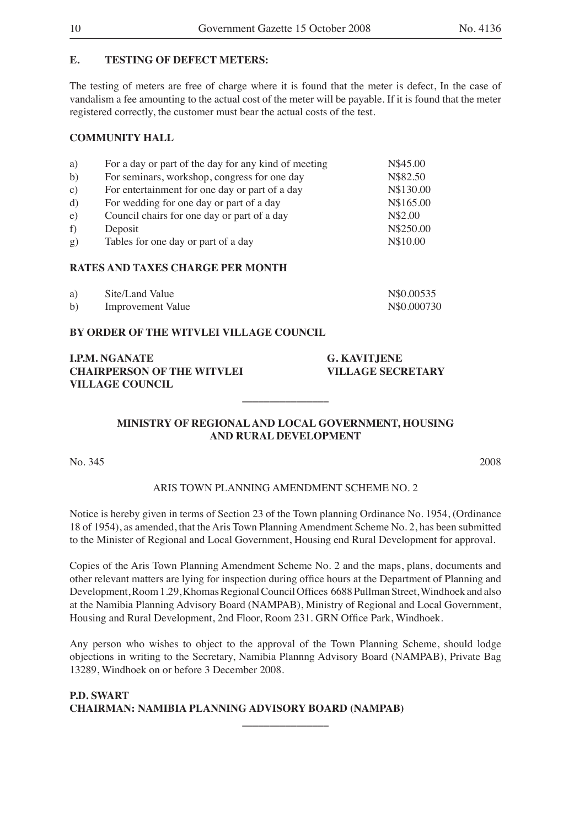## **E. TESTING OF DEFECT METERS:**

The testing of meters are free of charge where it is found that the meter is defect, In the case of vandalism a fee amounting to the actual cost of the meter will be payable. If it is found that the meter registered correctly, the customer must bear the actual costs of the test.

## **COMMUNITY HALL**

| a)            | For a day or part of the day for any kind of meeting | N\$45.00  |
|---------------|------------------------------------------------------|-----------|
| b)            | For seminars, workshop, congress for one day         | N\$82.50  |
| $\mathbf{c})$ | For entertainment for one day or part of a day       | N\$130.00 |
| $\rm d)$      | For wedding for one day or part of a day             | N\$165.00 |
| e)            | Council chairs for one day or part of a day          | N\$2.00   |
| f)            | Deposit                                              | N\$250.00 |
| g)            | Tables for one day or part of a day                  | N\$10.00  |

## **RATES AND TAXES CHARGE PER MONTH**

| a) | Site/Land Value          | N\$0.00535   |
|----|--------------------------|--------------|
| b) | <b>Improvement Value</b> | N\\$0.000730 |

#### **BY ORDER OF THE WITVLEI VILLAGE COUNCIL**

**I.P.M. NGANATE G. KAVITJENE CHAIRPERSON OF THE WITVLEI VILLAGE SECRETARY VILLAGE COUNCIL**

## **MINISTRY OF REGIONAL AND LOCAL GOVERNMENT, HOUSING AND RURAL DEVELOPMENT**

**\_\_\_\_\_\_\_\_\_\_\_\_\_\_\_\_**

No. 345 2008

#### ARIS TOWN PLANNING AMENDMENT SCHEME NO. 2

Notice is hereby given in terms of Section 23 of the Town planning Ordinance No. 1954, (Ordinance 18 of 1954), as amended, that the Aris Town Planning Amendment Scheme No. 2, has been submitted to the Minister of Regional and Local Government, Housing end Rural Development for approval.

Copies of the Aris Town Planning Amendment Scheme No. 2 and the maps, plans, documents and other relevant matters are lying for inspection during office hours at the Department of Planning and Development, Room 1.29, Khomas Regional Council Offices 6688 Pullman Street, Windhoek and also at the Namibia Planning Advisory Board (NAMPAB), Ministry of Regional and Local Government, Housing and Rural Development, 2nd Floor, Room 231. GRN Office Park, Windhoek.

Any person who wishes to object to the approval of the Town Planning Scheme, should lodge objections in writing to the Secretary, Namibia Plannng Advisory Board (NAMPAB), Private Bag 13289, Windhoek on or before 3 December 2008.

**\_\_\_\_\_\_\_\_\_\_\_\_\_\_\_\_**

## **P.D. SWART CHAIRMAN: NAMIBIA PLANNING ADVISORY BOARD (NAMPAB)**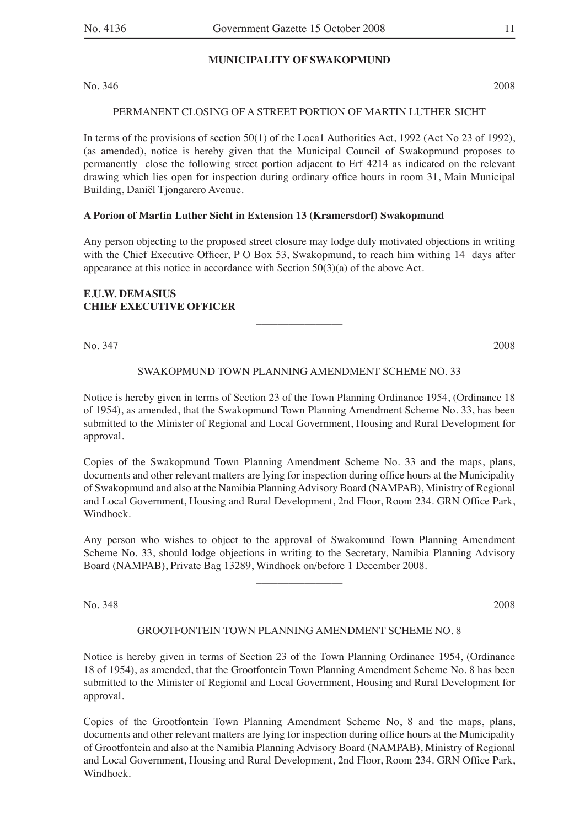#### **MUNICIPALITY OF SWAKOPMUND**

No. 346 2008

#### PERMANENT CLOSING OF A STREET PORTION OF MARTIN LUTHER SICHT

In terms of the provisions of section 50(1) of the Loca1 Authorities Act, 1992 (Act No 23 of 1992), (as amended), notice is hereby given that the Municipal Council of Swakopmund proposes to permanently close the following street portion adjacent to Erf 4214 as indicated on the relevant drawing which lies open for inspection during ordinary office hours in room 31, Main Municipal Building, Daniël Tjongarero Avenue.

## **A Porion of Martin Luther Sicht in Extension 13 (Kramersdorf) Swakopmund**

Any person objecting to the proposed street closure may lodge duly motivated objections in writing with the Chief Executive Officer, P O Box 53, Swakopmund, to reach him withing  $14$  days after appearance at this notice in accordance with Section 50(3)(a) of the above Act.

## **E.U.W. DEMASIUS CHIEF EXECUTIVE OFFICER**

No. 347 2008

#### SWAKOPMUND TOWN PLANNING AMENDMENT SCHEME NO. 33

**\_\_\_\_\_\_\_\_\_\_\_\_\_\_\_\_**

Notice is hereby given in terms of Section 23 of the Town Planning Ordinance 1954, (Ordinance 18 of 1954), as amended, that the Swakopmund Town Planning Amendment Scheme No. 33, has been submitted to the Minister of Regional and Local Government, Housing and Rural Development for approval.

Copies of the Swakopmund Town Planning Amendment Scheme No. 33 and the maps, plans, documents and other relevant matters are lying for inspection during office hours at the Municipality of Swakopmund and also at the Namibia Planning Advisory Board (NAMPAB), Ministry of Regional and Local Government, Housing and Rural Development, 2nd Floor, Room 234, GRN Office Park, Windhoek.

Any person who wishes to object to the approval of Swakomund Town Planning Amendment Scheme No. 33, should lodge objections in writing to the Secretary, Namibia Planning Advisory Board (NAMPAB), Private Bag 13289, Windhoek on/before 1 December 2008.

**\_\_\_\_\_\_\_\_\_\_\_\_\_\_\_\_**

No. 348 2008

## GROOTFONTEIN TOWN PLANNING AMENDMENT SCHEME NO. 8

Notice is hereby given in terms of Section 23 of the Town Planning Ordinance 1954, (Ordinance 18 of 1954), as amended, that the Grootfontein Town Planning Amendment Scheme No. 8 has been submitted to the Minister of Regional and Local Government, Housing and Rural Development for approval.

Copies of the Grootfontein Town Planning Amendment Scheme No, 8 and the maps, plans, documents and other relevant matters are lying for inspection during office hours at the Municipality of Grootfontein and also at the Namibia Planning Advisory Board (NAMPAB), Ministry of Regional and Local Government, Housing and Rural Development, 2nd Floor, Room 234. GRN Office Park, Windhoek.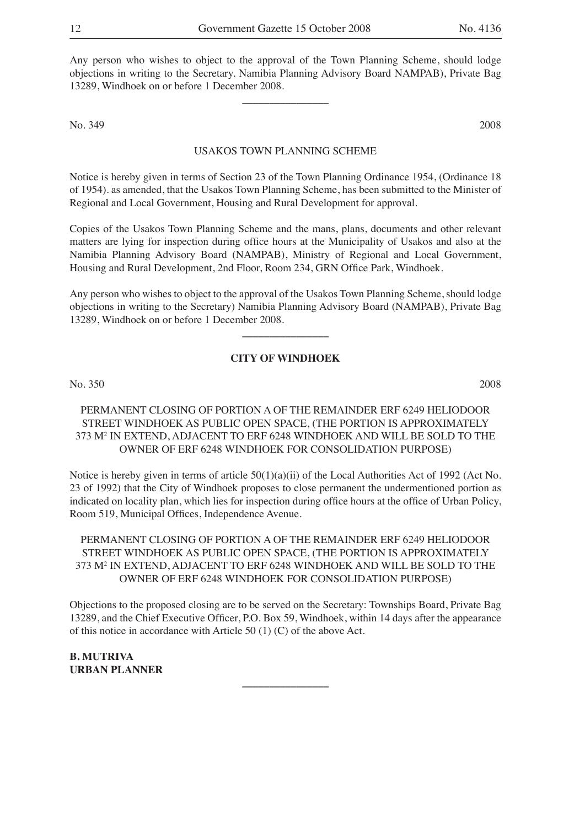Any person who wishes to object to the approval of the Town Planning Scheme, should lodge objections in writing to the Secretary. Namibia Planning Advisory Board NAMPAB), Private Bag 13289, Windhoek on or before 1 December 2008.

**\_\_\_\_\_\_\_\_\_\_\_\_\_\_\_\_**

No. 349 2008

#### USAKOS TOWN PLANNING SCHEME

Notice is hereby given in terms of Section 23 of the Town Planning Ordinance 1954, (Ordinance 18 of 1954). as amended, that the Usakos Town Planning Scheme, has been submitted to the Minister of Regional and Local Government, Housing and Rural Development for approval.

Copies of the Usakos Town Planning Scheme and the mans, plans, documents and other relevant matters are lying for inspection during office hours at the Municipality of Usakos and also at the Namibia Planning Advisory Board (NAMPAB), Ministry of Regional and Local Government, Housing and Rural Development, 2nd Floor, Room 234, GRN Office Park, Windhoek.

Any person who wishes to object to the approval of the Usakos Town Planning Scheme, should lodge objections in writing to the Secretary) Namibia Planning Advisory Board (NAMPAB), Private Bag 13289, Windhoek on or before 1 December 2008.

**\_\_\_\_\_\_\_\_\_\_\_\_\_\_\_\_**

## **CITY OF WINDHOEK**

No. 350 2008

## PERMANENT CLOSING OF PORTION A OF THE REMAINDER ERF 6249 HELIODOOR STREET WINDHOEK AS PUBLIC OPEN SPACE, (THE PORTION IS APPROXIMATELY 373 M2 IN EXTEND, ADJACENT TO ERF 6248 WINDHOEK AND WILL BE SOLD TO THE OWNER OF ERF 6248 WINDHOEK FOR CONSOLIDATION PURPOSE)

Notice is hereby given in terms of article  $50(1)(a)(ii)$  of the Local Authorities Act of 1992 (Act No. 23 of 1992) that the City of Windhoek proposes to close permanent the undermentioned portion as indicated on locality plan, which lies for inspection during office hours at the office of Urban Policy, Room 519, Municipal Offices, Independence Avenue.

PERMANENT CLOSING OF PORTION A OF THE REMAINDER ERF 6249 HELIODOOR STREET WINDHOEK AS PUBLIC OPEN SPACE, (THE PORTION IS APPROXIMATELY 373 M2 IN EXTEND, ADJACENT TO ERF 6248 WINDHOEK AND WILL BE SOLD TO THE OWNER OF ERF 6248 WINDHOEK FOR CONSOLIDATION PURPOSE)

Objections to the proposed closing are to be served on the Secretary: Townships Board, Private Bag 13289, and the Chief Executive Officer, P.O. Box 59, Windhoek, within 14 days after the appearance of this notice in accordance with Article 50 (1) (C) of the above Act.

**\_\_\_\_\_\_\_\_\_\_\_\_\_\_\_\_**

**B. MUTRIVA URBAN PLANNER**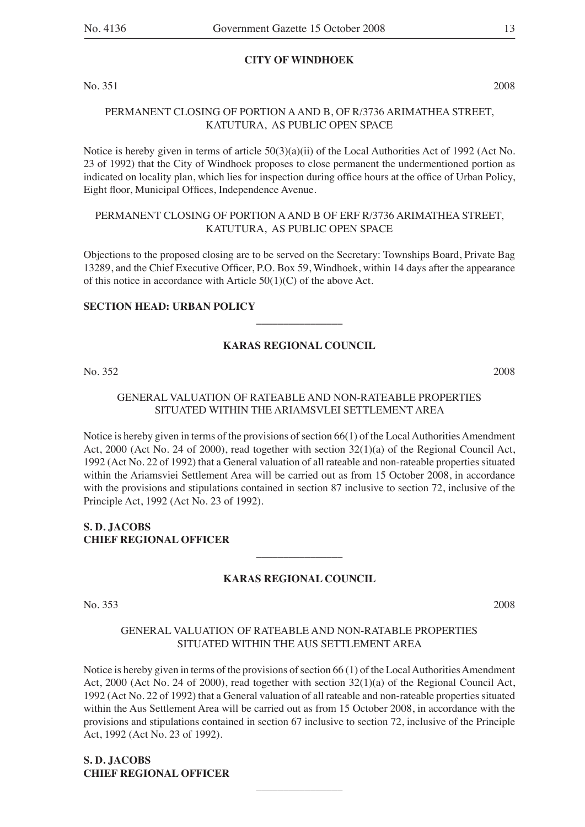#### **CITY OF WINDHOEK**

No. 351 2008

## PERMANENT CLOSING OF PORTION A AND B, OF R/3736 ARIMATHEA STREET, KATUTURA, AS PUBLIC OPEN SPACE

Notice is hereby given in terms of article 50(3)(a)(ii) of the Local Authorities Act of 1992 (Act No. 23 of 1992) that the City of Windhoek proposes to close permanent the undermentioned portion as indicated on locality plan, which lies for inspection during office hours at the office of Urban Policy, Eight floor, Municipal Offices, Independence Avenue.

## PERMANENT CLOSING OF PORTION A AND B OF ERF R/3736 ARIMATHEA STREET, KATUTURA, AS PUBLIC OPEN SPACE

Objections to the proposed closing are to be served on the Secretary: Townships Board, Private Bag 13289, and the Chief Executive Officer, P.O. Box 59, Windhoek, within 14 days after the appearance of this notice in accordance with Article 50(1)(C) of the above Act.

## **SECTION HEAD: URBAN POLICY**

## **KARAS REGIONAL COUNCIL**

**\_\_\_\_\_\_\_\_\_\_\_\_\_\_\_\_**

No. 352 2008

## GENERAL VALUATION OF RATEABLE AND NON-RATEABLE PROPERTIES SITUATED WITHIN THE ARIAMSVLEI SETTLEMENT AREA

Notice is hereby given in terms of the provisions of section 66(1) of the Local Authorities Amendment Act, 2000 (Act No. 24 of 2000), read together with section 32(1)(a) of the Regional Council Act, 1992 (Act No. 22 of 1992) that a General valuation of all rateable and non-rateable properties situated within the Ariamsviei Settlement Area will be carried out as from 15 October 2008, in accordance with the provisions and stipulations contained in section 87 inclusive to section 72, inclusive of the Principle Act, 1992 (Act No. 23 of 1992).

## **S. D. JACOBS CHIEF REGIONAL OFFICER**

## **KARAS REGIONAL COUNCIL**

**\_\_\_\_\_\_\_\_\_\_\_\_\_\_\_\_**

No. 353 2008

## GENERAL VALUATION OF RATEABLE AND NON-RATABLE PROPERTIES SITUATED WITHIN THE AUS SETTLEMENT AREA

Notice is hereby given in terms of the provisions of section 66 (1) of the Local Authorities Amendment Act, 2000 (Act No. 24 of 2000), read together with section 32(1)(a) of the Regional Council Act, 1992 (Act No. 22 of 1992) that a General valuation of all rateable and non-rateable properties situated within the Aus Settlement Area will be carried out as from 15 October 2008, in accordance with the provisions and stipulations contained in section 67 inclusive to section 72, inclusive of the Principle Act, 1992 (Act No. 23 of 1992).

**\_\_\_\_\_\_\_\_\_\_\_\_\_\_\_\_**

**S. D. JACOBS CHIEF REGIONAL OFFICER**